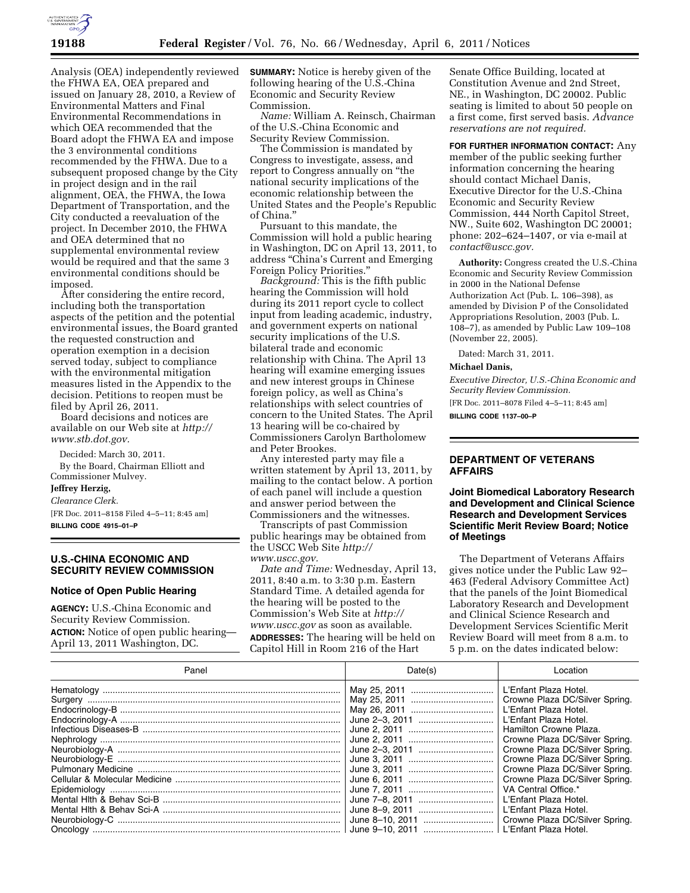

Analysis (OEA) independently reviewed the FHWA EA, OEA prepared and issued on January 28, 2010, a Review of Environmental Matters and Final Environmental Recommendations in which OEA recommended that the Board adopt the FHWA EA and impose the 3 environmental conditions recommended by the FHWA. Due to a subsequent proposed change by the City in project design and in the rail alignment, OEA, the FHWA, the Iowa Department of Transportation, and the City conducted a reevaluation of the project. In December 2010, the FHWA and OEA determined that no supplemental environmental review would be required and that the same 3 environmental conditions should be imposed.

After considering the entire record, including both the transportation aspects of the petition and the potential environmental issues, the Board granted the requested construction and operation exemption in a decision served today, subject to compliance with the environmental mitigation measures listed in the Appendix to the decision. Petitions to reopen must be filed by April 26, 2011.

Board decisions and notices are available on our Web site at *[http://](http://www.stb.dot.gov) [www.stb.dot.gov.](http://www.stb.dot.gov)* 

Decided: March 30, 2011. By the Board, Chairman Elliott and Commissioner Mulvey.

## **Jeffrey Herzig,**

#### *Clearance Clerk.*

[FR Doc. 2011–8158 Filed 4–5–11; 8:45 am] **BILLING CODE 4915–01–P** 

# **U.S.-CHINA ECONOMIC AND SECURITY REVIEW COMMISSION**

### **Notice of Open Public Hearing**

**AGENCY:** U.S.-China Economic and Security Review Commission. **ACTION:** Notice of open public hearing— April 13, 2011 Washington, DC.

**SUMMARY:** Notice is hereby given of the following hearing of the  $\check{U}$ .S.-China Economic and Security Review Commission.

*Name:* William A. Reinsch, Chairman of the U.S.-China Economic and Security Review Commission.

The Commission is mandated by Congress to investigate, assess, and report to Congress annually on ''the national security implications of the economic relationship between the United States and the People's Republic of China.''

Pursuant to this mandate, the Commission will hold a public hearing in Washington, DC on April 13, 2011, to address ''China's Current and Emerging Foreign Policy Priorities.''

*Background:* This is the fifth public hearing the Commission will hold during its 2011 report cycle to collect input from leading academic, industry, and government experts on national security implications of the U.S. bilateral trade and economic relationship with China. The April 13 hearing will examine emerging issues and new interest groups in Chinese foreign policy, as well as China's relationships with select countries of concern to the United States. The April 13 hearing will be co-chaired by Commissioners Carolyn Bartholomew and Peter Brookes.

Any interested party may file a written statement by April 13, 2011, by mailing to the contact below. A portion of each panel will include a question and answer period between the Commissioners and the witnesses.

Transcripts of past Commission public hearings may be obtained from the USCC Web Site *[http://](http://www.uscc.gov) [www.uscc.gov.](http://www.uscc.gov)* 

*Date and Time:* Wednesday, April 13, 2011, 8:40 a.m. to 3:30 p.m. Eastern Standard Time. A detailed agenda for the hearing will be posted to the Commission's Web Site at *[http://](http://www.uscc.gov) [www.uscc.gov](http://www.uscc.gov)* as soon as available. **ADDRESSES:** The hearing will be held on Capitol Hill in Room 216 of the Hart

Senate Office Building, located at Constitution Avenue and 2nd Street, NE., in Washington, DC 20002. Public seating is limited to about 50 people on a first come, first served basis. *Advance reservations are not required.* 

**FOR FURTHER INFORMATION CONTACT:** Any member of the public seeking further information concerning the hearing should contact Michael Danis, Executive Director for the U.S.-China Economic and Security Review Commission, 444 North Capitol Street, NW., Suite 602, Washington DC 20001; phone: 202–624–1407, or via e-mail at *[contact@uscc.gov.](mailto:contact@uscc.gov)* 

**Authority:** Congress created the U.S.-China Economic and Security Review Commission in 2000 in the National Defense Authorization Act (Pub. L. 106–398), as amended by Division P of the Consolidated Appropriations Resolution, 2003 (Pub. L.  $108-7$ , as amended by Public Law 109-108 (November 22, 2005).

Dated: March 31, 2011.

### **Michael Danis,**

*Executive Director, U.S.-China Economic and Security Review Commission.* 

[FR Doc. 2011–8078 Filed 4–5–11; 8:45 am]

**BILLING CODE 1137–00–P** 

# **DEPARTMENT OF VETERANS AFFAIRS**

**Joint Biomedical Laboratory Research and Development and Clinical Science Research and Development Services Scientific Merit Review Board; Notice of Meetings** 

The Department of Veterans Affairs gives notice under the Public Law 92– 463 (Federal Advisory Committee Act) that the panels of the Joint Biomedical Laboratory Research and Development and Clinical Science Research and Development Services Scientific Merit Review Board will meet from 8 a.m. to 5 p.m. on the dates indicated below:

| Panel | Date(s)        | Location                                                         |
|-------|----------------|------------------------------------------------------------------|
|       |                | L'Enfant Plaza Hotel.<br>Crowne Plaza DC/Silver Spring.          |
|       |                | L'Enfant Plaza Hotel.                                            |
|       | June 2-3, 2011 | L'Enfant Plaza Hotel.<br>Hamilton Crowne Plaza.                  |
|       |                | Crowne Plaza DC/Silver Spring.<br>Crowne Plaza DC/Silver Spring. |
|       |                | Crowne Plaza DC/Silver Spring.                                   |
|       |                | Crowne Plaza DC/Silver Spring.<br>Crowne Plaza DC/Silver Spring. |
|       |                | VA Central Office.*<br>L'Enfant Plaza Hotel.                     |
|       |                | L'Enfant Plaza Hotel.                                            |
|       |                |                                                                  |